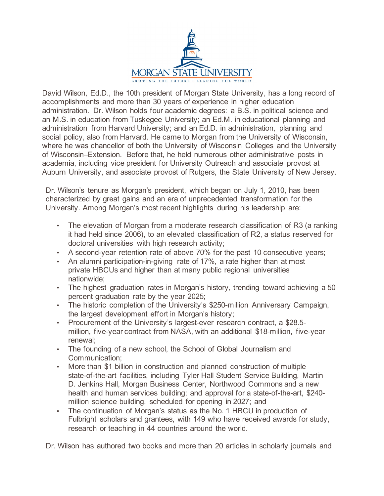

David Wilson, Ed.D., the 10th president of Morgan State University, has a long record of accomplishments and more than 30 years of experience in higher education administration. Dr. Wilson holds four academic degrees: a B.S. in political science and an M.S. in education from Tuskegee University; an Ed.M. in educational planning and administration from Harvard University; and an Ed.D. in administration, planning and social policy, also from Harvard. He came to Morgan from the University of Wisconsin, where he was chancellor of both the University of Wisconsin Colleges and the University of Wisconsin–Extension. Before that, he held numerous other administrative posts in academia, including vice president for University Outreach and associate provost at Auburn University, and associate provost of Rutgers, the State University of New Jersey.

Dr. Wilson's tenure as Morgan's president, which began on July 1, 2010, has been characterized by great gains and an era of unprecedented transformation for the University. Among Morgan's most recent highlights during his leadership are:

- The elevation of Morgan from a moderate research classification of R3 (a ranking it had held since 2006), to an elevated classification of R2, a status reserved for doctoral universities with high research activity;
- A second-year retention rate of above 70% for the past 10 consecutive years;
- An alumni participation-in-giving rate of 17%, a rate higher than at most private HBCUs and higher than at many public regional universities nationwide;
- The highest graduation rates in Morgan's history, trending toward achieving a 50 percent graduation rate by the year 2025;
- The historic completion of the University's \$250-million Anniversary Campaign, the largest development effort in Morgan's history;
- Procurement of the University's largest-ever research contract, a \$28.5 million, five-year contract from NASA, with an additional \$18-million, five-year renewal;
- The founding of a new school, the School of Global Journalism and Communication;
- More than \$1 billion in construction and planned construction of multiple state-of-the-art facilities, including Tyler Hall Student Service Building, Martin D. Jenkins Hall, Morgan Business Center, Northwood Commons and a new health and human services building; and approval for a state-of-the-art, \$240 million science building, scheduled for opening in 2027; and
- The continuation of Morgan's status as the No. 1 HBCU in production of Fulbright scholars and grantees, with 149 who have received awards for study, research or teaching in 44 countries around the world.

Dr. Wilson has authored two books and more than 20 articles in scholarly journals and